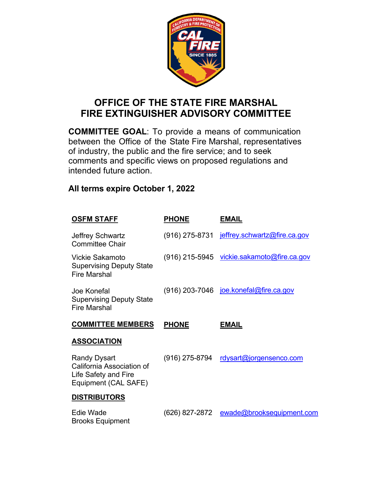

## **OFFICE OF THE STATE FIRE MARSHAL FIRE EXTINGUISHER ADVISORY COMMITTEE**

**COMMITTEE GOAL**: To provide a means of communication between the Office of the State Fire Marshal, representatives of industry, the public and the fire service; and to seek comments and specific views on proposed regulations and intended future action.

## **All terms expire October 1, 2022**

| <b>OSFM STAFF</b>                                                                                | <b>PHONE</b>   | <b>EMAIL</b>                                  |
|--------------------------------------------------------------------------------------------------|----------------|-----------------------------------------------|
| Jeffrey Schwartz<br><b>Committee Chair</b>                                                       |                | (916) 275-8731 jeffrey.schwartz@fire.ca.gov   |
| Vickie Sakamoto<br><b>Supervising Deputy State</b><br><b>Fire Marshal</b>                        |                | (916) 215-5945 vickie.sakamoto@fire.ca.gov    |
| Joe Konefal<br><b>Supervising Deputy State</b><br><b>Fire Marshal</b>                            |                | (916) 203-7046 <u>joe.konefal@fire.ca.gov</u> |
| <b>COMMITTEE MEMBERS</b>                                                                         | <b>PHONE</b>   | <b>EMAIL</b>                                  |
| <b>ASSOCIATION</b>                                                                               |                |                                               |
|                                                                                                  |                |                                               |
| <b>Randy Dysart</b><br>California Association of<br>Life Safety and Fire<br>Equipment (CAL SAFE) | (916) 275-8794 | <u>rdysart@jorgensenco.com</u>                |
| <b>DISTRIBUTORS</b>                                                                              |                |                                               |